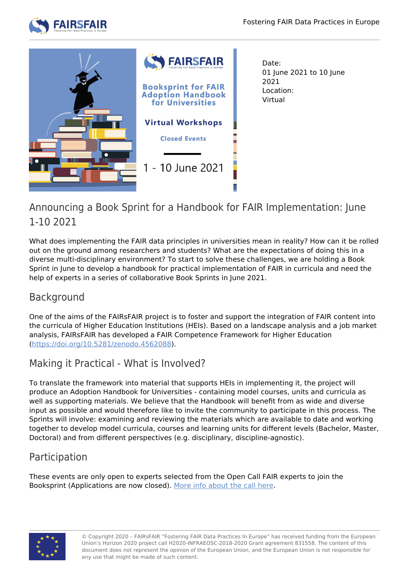



Date: 01 June 2021 to 10 June 2021 Location: Virtual

## Announcing a Book Sprint for a Handbook for FAIR Implementation: June 1-10 2021

What does implementing the FAIR data principles in universities mean in reality? How can it be rolled out on the ground among researchers and students? What are the expectations of doing this in a diverse multi-disciplinary environment? To start to solve these challenges, we are holding a Book Sprint in June to develop a handbook for practical implementation of FAIR in curricula and need the help of experts in a series of collaborative Book Sprints in June 2021.

## Background

One of the aims of the FAIRsFAIR project is to foster and support the integration of FAIR content into the curricula of Higher Education Institutions (HEIs). Based on a landscape analysis and a job market analysis, FAIRsFAIR has developed a FAIR Competence Framework for Higher Education [\(https://doi.org/10.5281/zenodo.4562088](https://doi.org/10.5281/zenodo.4562088)).

# Making it Practical - What is Involved?

To translate the framework into material that supports HEIs in implementing it, the project will produce an Adoption Handbook for Universities - containing model courses, units and curricula as well as supporting materials. We believe that the Handbook will benefit from as wide and diverse input as possible and would therefore like to invite the community to participate in this process. The Sprints will involve: examining and reviewing the materials which are available to date and working together to develop model curricula, courses and learning units for different levels (Bachelor, Master, Doctoral) and from different perspectives (e.g. disciplinary, discipline-agnostic).

## Participation

These events are only open to experts selected from the Open Call FAIR experts to join the Booksprint (Applications are now closed). [More info about the call here](https://www.fairsfair.eu/news/call-fair-experts-apply-and-join-booksprint-fair-adoption-handbook-universities).